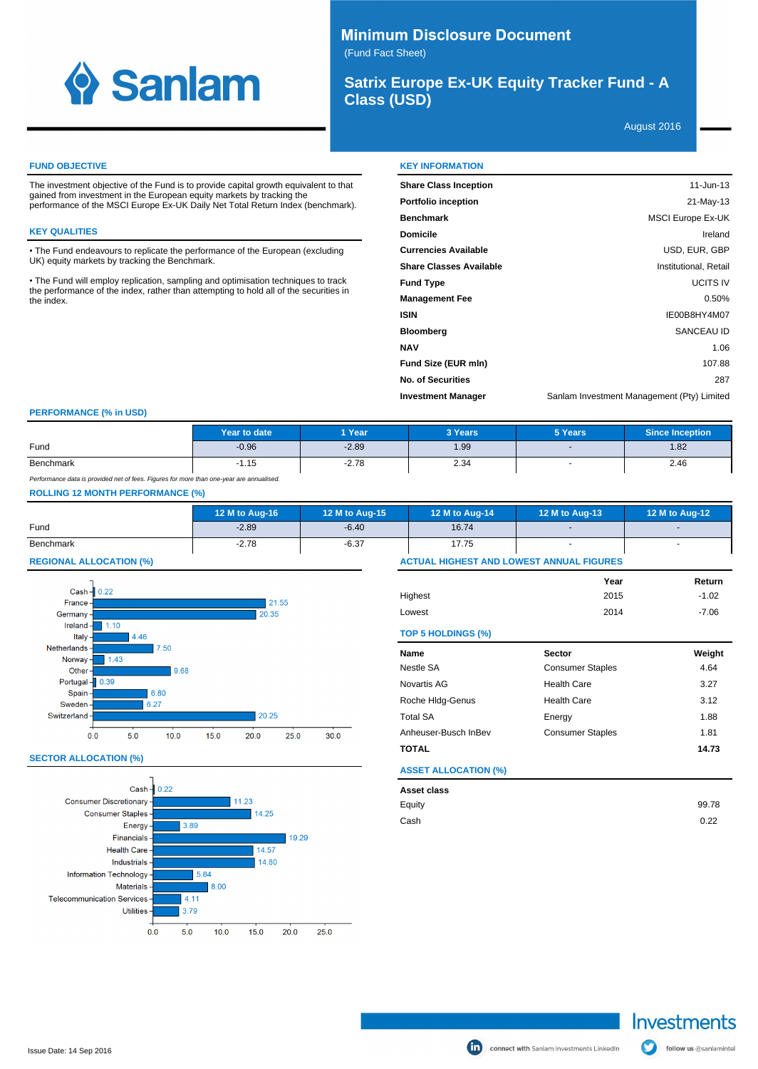

# **Minimum Disclosure Document** (Fund Fact Sheet)

# **Satrix Europe Ex-UK Equity Tracker Fund - A Class (USD)**

August 2016

## **FUND OBJECTIVE**

The investment objective of the Fund is to provide capital growth equivalent to that gained from investment in the European equity markets by tracking the performance of the MSCI Europe Ex-UK Daily Net Total Return Index (benchmark).

### **KEY QUALITIES**

The Fund endeavours to replicate the performance of the European (excluding UK) equity markets by tracking the Benchmark.

The Fund will employ replication, sampling and optimisation techniques to track the performance of the index, rather than attempting to hold all of the securities in the index.

| <b>KEY INFORMATION</b>         |                                            |
|--------------------------------|--------------------------------------------|
| <b>Share Class Inception</b>   | $11$ -Jun-13                               |
| <b>Portfolio inception</b>     | 21-May-13                                  |
| <b>Benchmark</b>               | <b>MSCI Europe Ex-UK</b>                   |
| <b>Domicile</b>                | Ireland                                    |
| <b>Currencies Available</b>    | USD, EUR, GBP                              |
| <b>Share Classes Available</b> | Institutional, Retail                      |
| <b>Fund Type</b>               | UCITS IV                                   |
| <b>Management Fee</b>          | 0.50%                                      |
| <b>ISIN</b>                    | IE00B8HY4M07                               |
| <b>Bloomberg</b>               | SANCEAU ID                                 |
| <b>NAV</b>                     | 1.06                                       |
| Fund Size (EUR mln)            | 107.88                                     |
| <b>No. of Securities</b>       | 287                                        |
| <b>Investment Manager</b>      | Sanlam Investment Management (Pty) Limited |

### **PERFORMANCE (% in USD)**

|           | Year to date                                  | 1 Year  | 3 Years | 5 Years | Since Inception |
|-----------|-----------------------------------------------|---------|---------|---------|-----------------|
| Fund      | $-0.96$                                       | $-2.89$ | 1.99    |         | 1.82            |
| Benchmark | $\overline{\phantom{0}}$<br>$\cdots$<br>-1.15 | $-2.78$ | 2.34    | -       | 2.46            |

Performance data is provided net of fees. Figures for more than one-year are annualised.

### **ROLLING 12 MONTH PERFORMANCE (%)**

|           | 12 M to Aug-16 | 12 M to Aug-15 | 12 M to Aug-14 | 12 M to Aug-13 | 12 M to Aug-12 |
|-----------|----------------|----------------|----------------|----------------|----------------|
| Fund      | $-2.89$        | $-6.40$        | 16.74          |                |                |
| Benchmark | $-2.78$        | $-6.37$        | 17.75          |                |                |

### **REGIONAL ALLOCATION (%)**



### **SECTOR ALLOCATION (%)**



| 17.75                     |                                                 |         |
|---------------------------|-------------------------------------------------|---------|
|                           | <b>ACTUAL HIGHEST AND LOWEST ANNUAL FIGURES</b> |         |
|                           | Year                                            | Return  |
| Highest                   | 2015                                            | $-1.02$ |
| Lowest                    | 2014                                            | $-7.06$ |
| <b>TOP 5 HOLDINGS (%)</b> |                                                 |         |
| Name                      | <b>Sector</b>                                   | Weight  |
| Nestle SA                 | <b>Consumer Staples</b>                         | 4.64    |
| Novartis AG               | <b>Health Care</b>                              | 3.27    |
|                           |                                                 |         |
| Roche Hidg-Genus          | <b>Health Care</b>                              | 3.12    |
| <b>Total SA</b>           | Energy                                          | 1.88    |

### **ASSET ALLOCATION (%)**

| Asset class |       |
|-------------|-------|
| Equity      | 99.78 |
| Cash        | 0.22  |

**TOTAL 14.73**

Investments

follow us @sanlamintel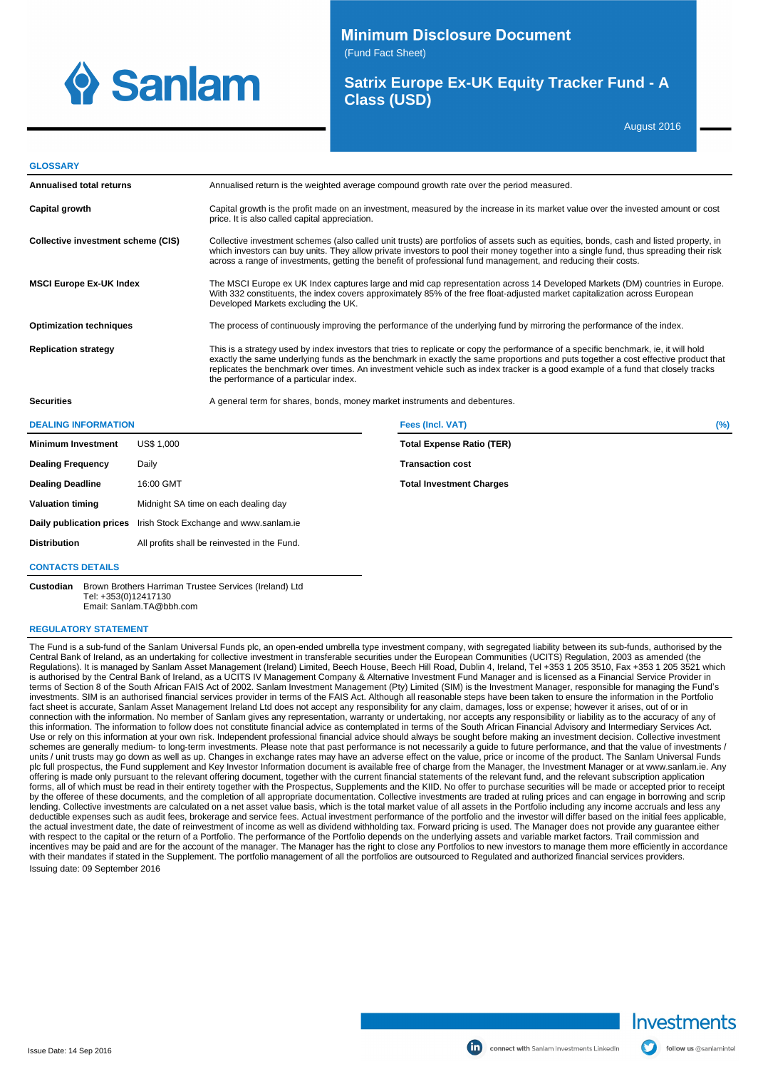

**Minimum Disclosure Document** 

(Fund Fact Sheet)

**Satrix Europe Ex-UK Equity Tracker Fund - A Class (USD)**

August 2016

### **GLOSSARY**

| <b>Annualised total returns</b>           |                   | Annualised return is the weighted average compound growth rate over the period measured.                                                                                                                                                                                                                                                                                                                                                                 |                                  |     |  |
|-------------------------------------------|-------------------|----------------------------------------------------------------------------------------------------------------------------------------------------------------------------------------------------------------------------------------------------------------------------------------------------------------------------------------------------------------------------------------------------------------------------------------------------------|----------------------------------|-----|--|
| Capital growth                            |                   | Capital growth is the profit made on an investment, measured by the increase in its market value over the invested amount or cost<br>price. It is also called capital appreciation.                                                                                                                                                                                                                                                                      |                                  |     |  |
| <b>Collective investment scheme (CIS)</b> |                   | Collective investment schemes (also called unit trusts) are portfolios of assets such as equities, bonds, cash and listed property, in<br>which investors can buy units. They allow private investors to pool their money together into a single fund, thus spreading their risk<br>across a range of investments, getting the benefit of professional fund management, and reducing their costs.                                                        |                                  |     |  |
| <b>MSCI Europe Ex-UK Index</b>            |                   | The MSCI Europe ex UK Index captures large and mid cap representation across 14 Developed Markets (DM) countries in Europe.<br>With 332 constituents, the index covers approximately 85% of the free float-adjusted market capitalization across European<br>Developed Markets excluding the UK.                                                                                                                                                         |                                  |     |  |
| <b>Optimization techniques</b>            |                   | The process of continuously improving the performance of the underlying fund by mirroring the performance of the index.                                                                                                                                                                                                                                                                                                                                  |                                  |     |  |
| <b>Replication strategy</b>               |                   | This is a strategy used by index investors that tries to replicate or copy the performance of a specific benchmark, ie, it will hold<br>exactly the same underlying funds as the benchmark in exactly the same proportions and puts together a cost effective product that<br>replicates the benchmark over times. An investment vehicle such as index tracker is a good example of a fund that closely tracks<br>the performance of a particular index. |                                  |     |  |
| <b>Securities</b>                         |                   | A general term for shares, bonds, money market instruments and debentures.                                                                                                                                                                                                                                                                                                                                                                               |                                  |     |  |
| <b>DEALING INFORMATION</b>                |                   |                                                                                                                                                                                                                                                                                                                                                                                                                                                          | Fees (Incl. VAT)                 | (%) |  |
| <b>Minimum Investment</b>                 | <b>US\$ 1.000</b> |                                                                                                                                                                                                                                                                                                                                                                                                                                                          | <b>Total Expense Ratio (TER)</b> |     |  |
| <b>Dealing Frequency</b>                  | Daily             |                                                                                                                                                                                                                                                                                                                                                                                                                                                          | <b>Transaction cost</b>          |     |  |
| <b>Dealing Deadline</b>                   | 16:00 GMT         |                                                                                                                                                                                                                                                                                                                                                                                                                                                          | <b>Total Investment Charges</b>  |     |  |
| <b>Valuation timing</b>                   |                   | Midnight SA time on each dealing day                                                                                                                                                                                                                                                                                                                                                                                                                     |                                  |     |  |
| Daily publication prices                  |                   | Irish Stock Exchange and www.sanlam.ie                                                                                                                                                                                                                                                                                                                                                                                                                   |                                  |     |  |
| <b>Distribution</b>                       |                   | All profits shall be reinvested in the Fund.                                                                                                                                                                                                                                                                                                                                                                                                             |                                  |     |  |

#### **CONTACTS DETAILS**

**Custodian** Brown Brothers Harriman Trustee Services (Ireland) Ltd Tel: +353(0)12417130 Email: Sanlam.TA@bbh.com

### **REGULATORY STATEMENT**

The Fund is a sub-fund of the Sanlam Universal Funds plc, an open-ended umbrella type investment company, with segregated liability between its sub-funds, authorised by the Central Bank of Ireland, as an undertaking for collective investment in transferable securities under the European Communities (UCITS) Regulation, 2003 as amended (the<br>Regulations). It is managed by Sanlam Asset Management is authorised by the Central Bank of Ireland, as a UCITS IV Management Company & Alternative Investment Fund Manager and is licensed as a Financial Service Provider in terms of Section 8 of the South African FAIS Act of 2002. Sanlam Investment Management (Pty) Limited (SIM) is the Investment Manager, responsible for managing the Fund's investments. SIM is an authorised financial services provider in terms of the FAIS Act. Although all reasonable steps have been taken to ensure the information in the Portfolio fact sheet is accurate, Sanlam Asset Management Ireland Ltd does not accept any responsibility for any claim, damages, loss or expense; however it arises, out of or in<br>connection with the information. No member of Sanlam g this information. The information to follow does not constitute financial advice as contemplated in terms of the South African Financial Advisory and Intermediary Services Act. Use or rely on this information at your own risk. Independent professional financial advice should always be sought before making an investment decision. Collective investment schemes are generally medium- to long-term investments. Please note that past performance is not necessarily a guide to future performance, and that the value of investments /<br>units / unit trusts may go down as well as up. offering is made only pursuant to the relevant offering document, together with the current financial statements of the relevant fund, and the relevant subscription application forms, all of which must be read in their entirety together with the Prospectus, Supplements and the KIID. No offer to purchase securities will be made or accepted prior to receipt by the offeree of these documents, and the completion of all appropriate documentation. Collective investments are traded at ruling prices and can engage in borrowing and scrip lending. Collective investments are calculated on a net asset value basis, which is the total market value of all assets in the Portfolio including any income accruals and less any<br>deductible expenses such as audit fees, b the actual investment date, the date of reinvestment of income as well as dividend withholding tax. Forward pricing is used. The Manager does not provide any guarantee either with respect to the capital or the return of a Portfolio. The performance of the Portfolio depends on the underlying assets and variable market factors. Trail commission and incentives may be paid and are for the account of the manager. The Manager has the right to close any Portfolios to new investors to manage them more efficiently in accordance with their mandates if stated in the Supplement. The portfolio management of all the portfolios are outsourced to Regulated and authorized financial services providers. Issuing date: 09 September 2016



follow us @sanlamintel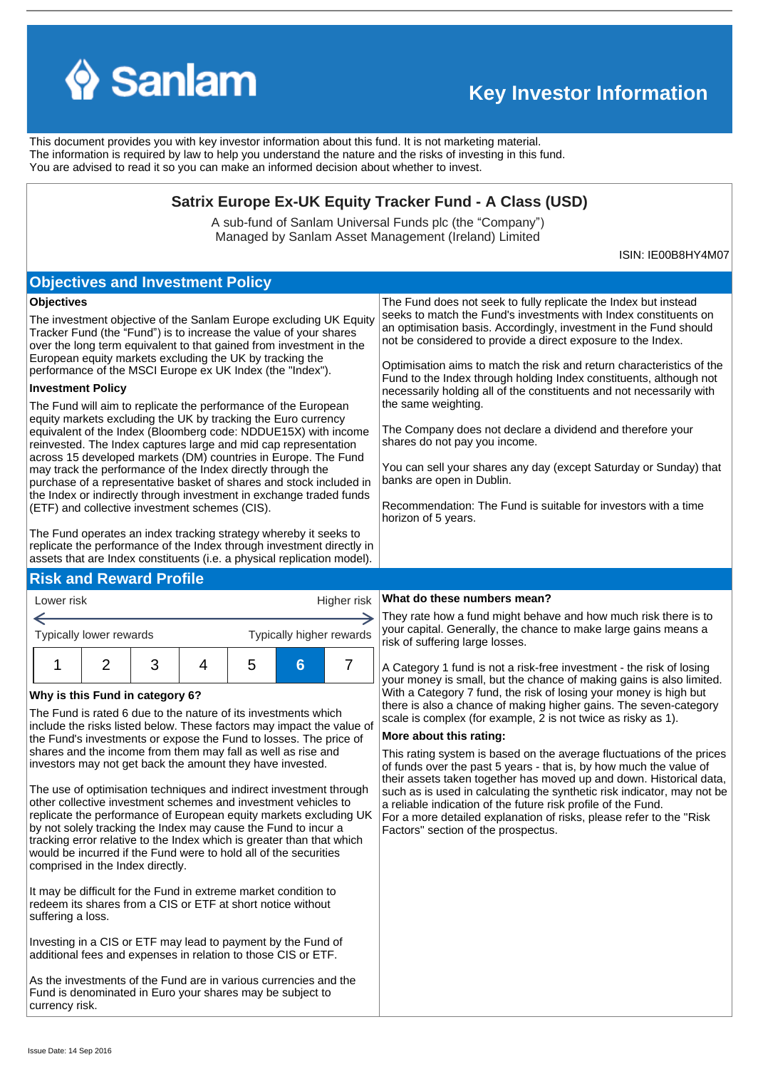

# **Key Investor Information**

This document provides you with key investor information about this fund. It is not marketing material. The information is required by law to help you understand the nature and the risks of investing in this fund. You are advised to read it so you can make an informed decision about whether to invest.

# **Satrix Europe Ex-UK Equity Tracker Fund - A Class (USD)**

A sub-fund of Sanlam Universal Funds plc (the "Company") Managed by Sanlam Asset Management (Ireland) Limited

ISIN: IE00B8HY4M07

| <b>Objectives and Investment Policy</b> |
|-----------------------------------------|
|-----------------------------------------|

## **Objectives**

The investment objective of the Sanlam Europe excluding UK Equity Tracker Fund (the "Fund") is to increase the value of your shares over the long term equivalent to that gained from investment in the European equity markets excluding the UK by tracking the performance of the MSCI Europe ex UK Index (the "Index").

## **Investment Policy**

The Fund will aim to replicate the performance of the European equity markets excluding the UK by tracking the Euro currency equivalent of the Index (Bloomberg code: NDDUE15X) with income reinvested. The Index captures large and mid cap representation across 15 developed markets (DM) countries in Europe. The Fund may track the performance of the Index directly through the purchase of a representative basket of shares and stock included in the Index or indirectly through investment in exchange traded funds (ETF) and collective investment schemes (CIS).

The Fund operates an index tracking strategy whereby it seeks to replicate the performance of the Index through investment directly in assets that are Index constituents (i.e. a physical replication model).

## **Risk and Reward Profile**

Lower risk

| Lower risk              |  |  |  |   | Higher risk |                          |
|-------------------------|--|--|--|---|-------------|--------------------------|
|                         |  |  |  |   |             |                          |
| Typically lower rewards |  |  |  |   |             | Typically higher rewards |
|                         |  |  |  | b | ь           |                          |

## **Why is this Fund in category 6?**

The Fund is rated 6 due to the nature of its investments which include the risks listed below. These factors may impact the value of the Fund's investments or expose the Fund to losses. The price of shares and the income from them may fall as well as rise and investors may not get back the amount they have invested.

The use of optimisation techniques and indirect investment through other collective investment schemes and investment vehicles to replicate the performance of European equity markets excluding UK by not solely tracking the Index may cause the Fund to incur a tracking error relative to the Index which is greater than that which would be incurred if the Fund were to hold all of the securities comprised in the Index directly.

It may be difficult for the Fund in extreme market condition to redeem its shares from a CIS or ETF at short notice without suffering a loss.

Investing in a CIS or ETF may lead to payment by the Fund of additional fees and expenses in relation to those CIS or ETF.

As the investments of the Fund are in various currencies and the Fund is denominated in Euro your shares may be subject to currency risk.

### **What do these numbers mean?**

the same weighting.

shares do not pay you income.

banks are open in Dublin.

horizon of 5 years.

They rate how a fund might behave and how much risk there is to your capital. Generally, the chance to make large gains means a risk of suffering large losses.

The Fund does not seek to fully replicate the Index but instead seeks to match the Fund's investments with Index constituents on an optimisation basis. Accordingly, investment in the Fund should not be considered to provide a direct exposure to the Index.

The Company does not declare a dividend and therefore your

Optimisation aims to match the risk and return characteristics of the Fund to the Index through holding Index constituents, although not necessarily holding all of the constituents and not necessarily with

You can sell your shares any day (except Saturday or Sunday) that

Recommendation: The Fund is suitable for investors with a time

A Category 1 fund is not a risk-free investment - the risk of losing your money is small, but the chance of making gains is also limited. With a Category 7 fund, the risk of losing your money is high but there is also a chance of making higher gains. The seven-category scale is complex (for example, 2 is not twice as risky as 1).

### **More about this rating:**

This rating system is based on the average fluctuations of the prices of funds over the past 5 years - that is, by how much the value of their assets taken together has moved up and down. Historical data, such as is used in calculating the synthetic risk indicator, may not be a reliable indication of the future risk profile of the Fund. For a more detailed explanation of risks, please refer to the ''Risk Factors'' section of the prospectus.